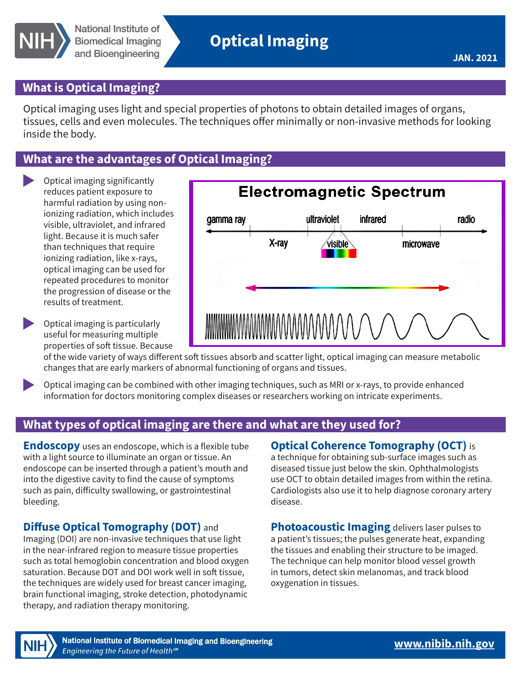

## **What is Optical Imaging?**

Optical imaging uses light and special properties of photons to obtain detailed images of organs, tissues, cells and even molecules. The techniques offer minimally or non-invasive methods for looking inside the body.

# **What are the advantages of Optical Imaging?**

- Optical imaging significantly reduces patient exposure to harmful radiation by using nonionizing radiation, which includes visible, ultraviolet, and infrared light. Because it is much safer than techniques that require ionizing radiation, like x-rays, optical imaging can be used for repeated procedures to monitor the progression of disease or the results of treatment.
- Optical imaging is particularly useful for measuring multiple properties of soft tissue. Because

**Electromagnetic Spectrum** ultraviolet infrared gamma ray radio X-rav visible microwave WMMMMMMMANANAAAAA

of the wide variety of ways different soft tissues absorb and scatter light, optical imaging can measure metabolic changes that are early markers of abnormal functioning of organs and tissues.

Optical imaging can be combined with other imaging techniques, such as MRI or x-rays, to provide enhanced information for doctors monitoring complex diseases or researchers working on intricate experiments.

# **What types of optical imaging are there and what are they used for?**

**Endoscopy** uses an endoscope, which is a flexible tube with a light source to illuminate an organ or tissue. An endoscope can be inserted through a patient's mouth and into the digestive cavity to find the cause of symptoms such as pain, dificulty swallowing, or gastrointestinal bleeding.

#### **Difuse Optical Tomography (DOT)** and

Imaging (DOI) are non-invasive techniques that use light in the near-infrared region to measure tissue properties such as total hemoglobin concentration and blood oxygen saturation. Because DOT and DOI work well in soft tissue, the techniques are widely used for breast cancer imaging, brain functional imaging, stroke detection, photodynamic therapy, and radiation therapy monitoring.

#### **Optical Coherence Tomography (OCT)** is

a technique for obtaining sub-surface images such as diseased tissue just below the skin. Ophthalmologists use OCT to obtain detailed images from within the retina. Cardiologists also use it to help diagnose coronary artery disease.

**Photoacoustic Imaging** delivers laser pulses to a patient's tissues; the pulses generate heat, expanding the tissues and enabling their structure to be imaged. The technique can help monitor blood vessel growth in tumors, detect skin melanomas, and track blood oxygenation in tissues.